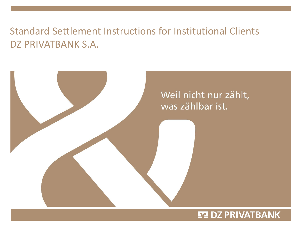# Standard Settlement Instructions for Institutional Clients DZ PRIVATBANK S.A.

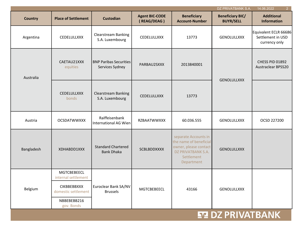|                                                                                                       |                                                  |                                      |                                                                                                                           | DZ PRIVATBANK S.A.                          | 2 <sup>1</sup><br>14.06.2022                                |
|-------------------------------------------------------------------------------------------------------|--------------------------------------------------|--------------------------------------|---------------------------------------------------------------------------------------------------------------------------|---------------------------------------------|-------------------------------------------------------------|
| <b>Place of Settlement</b>                                                                            | <b>Custodian</b>                                 | <b>Agent BIC-CODE</b><br>(REAG/DEAG) | <b>Beneficiary</b><br><b>Account-Number</b>                                                                               | <b>Beneficiary BIC/</b><br><b>BUYR/SELL</b> | <b>Additional</b><br><b>Information</b>                     |
| CEDELULLXXX                                                                                           | <b>Clearstream Banking</b><br>S.A. Luxembourg    | CEDELULLXXX                          | 13773                                                                                                                     | GENOLULLXXX                                 | Equivalent ECLR 66686<br>Settlement in USD<br>currency only |
| CAETAU21XXX<br>equities                                                                               | <b>BNP Paribas Securities</b><br>Services Sydney | PARBAU2SXXX                          | 2013840001                                                                                                                |                                             | CHESS PID 01892<br><b>Austraclear BPSS20</b>                |
| <b>CEDELULLXXX</b><br>bonds                                                                           | <b>Clearstream Banking</b><br>S.A. Luxembourg    | CEDELULLXXX                          | 13773                                                                                                                     |                                             |                                                             |
| <b>OCSDATWWXXX</b>                                                                                    | Raiffeisenbank<br><b>International AG Wien</b>   | RZBAATWWXXX                          | 60.036.555                                                                                                                | <b>GENOLULLXXX</b>                          | OCSD 227200                                                 |
| XDHABDD1XXX                                                                                           | <b>Standard Chartered</b><br><b>Bank Dhaka</b>   | <b>SCBLBDDXXXX</b>                   | separate Accounts in<br>the name of beneficial<br>owner, please contact<br>DZ PRIVATBANK S.A.<br>Settlement<br>Department | <b>GENOLULLXXX</b>                          |                                                             |
| <b>MGTCBEBEECL</b><br>internal settlement<br><b>CIKBBEBBXXX</b><br>domestic settlement<br>NBBEBEBB216 | Euroclear Bank SA/NV<br><b>Brussels</b>          | <b>MGTCBEBEECL</b>                   | 43166                                                                                                                     | <b>GENOLULLXXX</b>                          |                                                             |
|                                                                                                       | gov. Bonds                                       |                                      |                                                                                                                           |                                             | <b>GENOLULLXXX</b>                                          |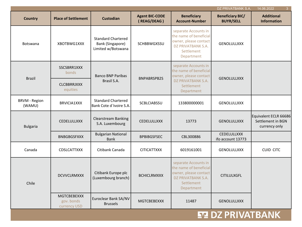|                                |                                                  |                                                                     |                                      |                                                                                                                           | DZ PRIVATBANK S.A.                          | 14.06.2022<br>$\mathbf{3}$                                  |
|--------------------------------|--------------------------------------------------|---------------------------------------------------------------------|--------------------------------------|---------------------------------------------------------------------------------------------------------------------------|---------------------------------------------|-------------------------------------------------------------|
| <b>Country</b>                 | <b>Place of Settlement</b>                       | <b>Custodian</b>                                                    | <b>Agent BIC-CODE</b><br>(REAG/DEAG) | <b>Beneficiary</b><br><b>Account-Number</b>                                                                               | <b>Beneficiary BIC/</b><br><b>BUYR/SELL</b> | <b>Additional</b><br><b>Information</b>                     |
| Botswana                       | XBOTBWG1XXX                                      | <b>Standard Chartered</b><br>Bank (Singapore)<br>Limited w/Botswana | <b>SCHBBWGXSSU</b>                   | separate Accounts in<br>the name of beneficial<br>owner, please contact<br>DZ PRIVATBANK S.A.<br>Settlement<br>Department | GENOLULLXXX                                 |                                                             |
| <b>Brazil</b>                  | SSCSBRR1XXX<br>bonds                             | <b>Banco BNP Paribas</b>                                            | <b>BNPABRSPB2S</b>                   | separate Accounts in<br>the name of beneficial<br>owner, please contact                                                   | <b>GENOLULLXXX</b>                          |                                                             |
|                                | <b>CLCBBRRJXXX</b><br>equities                   | Brasil S.A.                                                         |                                      | DZ PRIVATBANK S.A.<br>Settlement<br>Department                                                                            |                                             |                                                             |
| <b>BRVM - Region</b><br>(WAMU) | <b>BRVICIA1XXX</b>                               | <b>Standard Chartered</b><br>Bank Cote d'Ivoire S.A.                | SCBLCIABSSU                          | 133800000001                                                                                                              | <b>GENOLULLXXX</b>                          |                                                             |
| <b>Bulgaria</b>                | CEDELULLXXX                                      | <b>Clearstream Banking</b><br>S.A. Luxembourg                       | CEDELULLXXX                          | 13773                                                                                                                     | <b>GENOLULLXXX</b>                          | Equivalent ECLR 66686<br>Settlement in BGN<br>currency only |
|                                | <b>BNBGBGSFXXX</b>                               | <b>Bulgarian National</b><br><b>Bank</b>                            | <b>BPBIBGSFSEC</b>                   | CBL300886                                                                                                                 | <b>CEDELULLXXX</b><br>ifo account 13773     |                                                             |
| Canada                         | <b>CDSLCATTXXX</b>                               | Citibank Canada                                                     | <b>CITICATTXXX</b>                   | 6019161001                                                                                                                | GENOLULLXXX                                 | <b>CUID CITC</b>                                            |
| Chile                          | <b>DCVVCLRMXXX</b>                               | Citibank Europe plc<br>(Luxembourg branch)                          | <b>BCHICLRMXXX</b>                   | separate Accounts in<br>the name of beneficial<br>owner, please contact<br>DZ PRIVATBANK S.A.<br>Settlement<br>Department | <b>CITILULXGFL</b>                          |                                                             |
|                                | <b>MGTCBEBEXXX</b><br>gov. bonds<br>currency USD | Euroclear Bank SA/NV<br><b>Brussels</b>                             | <b>MGTCBEBEXXX</b>                   | 11487                                                                                                                     | <b>GENOLULLXXX</b>                          |                                                             |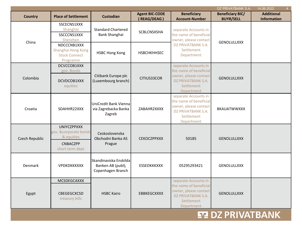|                |                                                                                          |                                                                  |                                      |                                                                                                                           | DZ PRIVATBANK S.A.                          | 14.06.2022                       |
|----------------|------------------------------------------------------------------------------------------|------------------------------------------------------------------|--------------------------------------|---------------------------------------------------------------------------------------------------------------------------|---------------------------------------------|----------------------------------|
| <b>Country</b> | <b>Place of Settlement</b>                                                               | <b>Custodian</b>                                                 | <b>Agent BIC-CODE</b><br>(REAG/DEAG) | <b>Beneficiary</b><br><b>Account-Number</b>                                                                               | <b>Beneficiary BIC/</b><br><b>BUYR/SELL</b> | <b>Additional</b><br>Information |
|                | SSCECNS1XXX<br>Shanghai<br>SSCCCNS1XXX<br>Shenzhen                                       | <b>Standard Chartered</b><br>Bank Shanghai                       | SCBLCNSXSHA                          | separate Accounts in<br>the name of beneficial<br>owner, please contact                                                   |                                             |                                  |
| China          | NDCCCNB1XXX<br>Shanghai Hong Kong<br><b>Stock Connect</b><br>Programm                    | <b>HSBC Hong Kong</b>                                            | HSBCHKHHSEC                          | DZ PRIVATBANK S.A.<br>Settlement<br>Department                                                                            | <b>GENOLULLXXX</b>                          |                                  |
| Colombia       | DCVCCOB1XXX<br>gov. Bonds<br>DCVDCOB1XXX<br>equities                                     | Citibank Europe plc<br>(Luxembourg branch)                       | CITIUS33COR                          | separate Accounts in<br>the name of beneficial<br>owner, please contact<br>DZ PRIVATBANK S.A.<br>Settlement<br>Department | <b>GENOLULLXXX</b>                          |                                  |
| Croatia        | SDAHHR22XXX                                                                              | UniCredit Bank Vienna<br>via Zagrebacka Banka<br>Zagreb          | ZABAHR2XXXX                          | separate Accounts in<br>the name of beneficial<br>owner, please contact<br>DZ PRIVATBANK S.A.<br>Settlement<br>Department | <b>BKAUATWWXXX</b>                          |                                  |
| Czech Republic | <b>UNIYCZPPXXX</b><br>gov. &corporate bonds<br>& equities<br>CNBACZPP<br>short term dept | Ceskoslovenska<br>Obchodni Banka AS<br>Prague                    | <b>CEKOCZPPXXX</b>                   | 50185                                                                                                                     | <b>GENOLULLXXX</b>                          |                                  |
| Denmark        | VPDKDKKKXXX                                                                              | Skandinaviska Enskilda<br>Banken AB (publ),<br>Copenhagen Branch | ESSEDKKKXXX                          | 05295293421                                                                                                               | <b>GENOLULLXXX</b>                          |                                  |
| Egypt          | <b>MCSDEGCAXXX</b><br>CBEGEGCXCSD<br>treasury bills                                      | <b>HSBC Kairo</b>                                                | EBBKEGCXXXX                          | separate Accounts in<br>the name of beneficial<br>owner, please contact<br>DZ PRIVATBANK S.A.<br>Settlement<br>Department | <b>GENOLULLXXX</b>                          |                                  |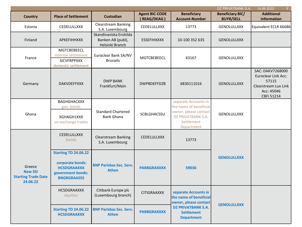|                                                                    |                                                                                                                  |                                                                |                                      |                                                                                                   | DZ PRIVATBANK S.A.                          | 14.06.2022<br>5 <sup>1</sup>                                                                                |
|--------------------------------------------------------------------|------------------------------------------------------------------------------------------------------------------|----------------------------------------------------------------|--------------------------------------|---------------------------------------------------------------------------------------------------|---------------------------------------------|-------------------------------------------------------------------------------------------------------------|
| <b>Country</b>                                                     | <b>Place of Settlement</b>                                                                                       | <b>Custodian</b>                                               | <b>Agent BIC-CODE</b><br>(REAG/DEAG) | <b>Beneficiary</b><br><b>Account-Number</b>                                                       | <b>Beneficiary BIC/</b><br><b>BUYR/SELL</b> | <b>Additional</b><br><b>Information</b>                                                                     |
| Estonia                                                            | <b>CEDELULLXXX</b>                                                                                               | <b>Clearstream Banking</b><br>S.A. Luxembourg                  | <b>CEDELULLXXX</b>                   | 13773                                                                                             | <b>GENOLULLXXX</b>                          | Equivalent ECLR 66686                                                                                       |
| Finland                                                            | <b>APKEFIHHXXX</b>                                                                                               | Skandinaviska Enskilda<br>Banken AB (publ),<br>Helsinki Branch | <b>ESSEFIHXXXX</b>                   | 10-100 352 635                                                                                    | <b>GENOLULLXXX</b>                          |                                                                                                             |
|                                                                    | <b>MGTCBEBEECL</b>                                                                                               |                                                                |                                      |                                                                                                   |                                             |                                                                                                             |
| France                                                             | internal settlement                                                                                              | Euroclear Bank SA/NV                                           | <b>MGTCBEBEECL</b>                   | 43167                                                                                             | <b>GENOLULLXXX</b>                          |                                                                                                             |
|                                                                    | <b>SICVFRPPXXX</b>                                                                                               | <b>Brussels</b>                                                |                                      |                                                                                                   |                                             |                                                                                                             |
|                                                                    | domestic settlement                                                                                              |                                                                |                                      |                                                                                                   |                                             |                                                                                                             |
| Germany                                                            | <b>DAKVDEFFXXX</b>                                                                                               | <b>DWP BANK</b><br>Frankfurt/Main                              | <b>DWPBDEFFDZB</b>                   | 6830111016                                                                                        | <b>GENOLULLXXX</b>                          | SAC: DAKV7268000<br><b>Euroclear Link Acc:</b><br>57115<br>Clearstream Lux Link<br>Acc: 45046<br>CBFi 51214 |
|                                                                    | <b>BAGHGHACXXX</b>                                                                                               |                                                                |                                      | separate Accounts in                                                                              |                                             |                                                                                                             |
| Ghana                                                              | gov. bonds<br>XGHAGH1XXX<br>on-exchange trades                                                                   | <b>Standard Chartered</b><br><b>Bank Ghana</b>                 | <b>SCBLGHACSSU</b>                   | the name of beneficial<br>owner, please contact<br>DZ PRIVATBANK S.A.<br>Settlement<br>Department | GENOLULLXXX                                 |                                                                                                             |
|                                                                    | <b>CEDELULLXXX</b><br>bonds                                                                                      | <b>Clearstream Banking</b><br>S.A. Luxembourg                  | <b>CEDELULLXXX</b>                   | 13773                                                                                             |                                             |                                                                                                             |
| Greece<br><b>New SSI</b><br><b>Starting Trade Date</b><br>24.06.22 | <b>Starting TD 24.06.22</b><br>corporate bonds:<br><b>HCSDGRAAXXX</b><br>government bonds:<br><b>BNGRGRAASSS</b> | <b>BNP Parisbas Sec. Serv.</b><br><b>Athen</b>                 | <b>PARBGRAXXXX</b>                   | 59036                                                                                             | <b>GENOLULLXXX</b>                          |                                                                                                             |
|                                                                    | <b>HCSDGRAAXXX</b><br>equities                                                                                   | Citibank Europe plc<br>(Luxembourg branch)                     | <b>CITIGRAAXXX</b>                   | separate Accounts in<br>the name of beneficial<br>owner, please contact                           |                                             |                                                                                                             |
|                                                                    | <b>Starting TD 24.06.22</b><br><b>HCSDGRAAXXX</b>                                                                | <b>BNP Parisbas Sec. Serv.</b><br><b>Athen</b>                 | <b>PARBGRAXXXX</b>                   | <b>GENOLULLXXX</b><br><b>DZ PRIVATBANK S.A.</b><br><b>Settlement</b><br><b>Department</b>         |                                             |                                                                                                             |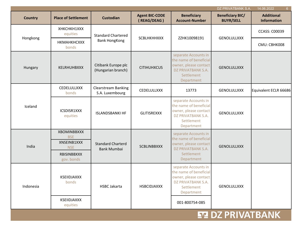|                |                                                                                     |                                               |                                      |                                                                                                                           | DZ PRIVATBANK S.A.                          | 14.06.2022<br>6 <sup>1</sup>            |
|----------------|-------------------------------------------------------------------------------------|-----------------------------------------------|--------------------------------------|---------------------------------------------------------------------------------------------------------------------------|---------------------------------------------|-----------------------------------------|
| <b>Country</b> | <b>Place of Settlement</b>                                                          | <b>Custodian</b>                              | <b>Agent BIC-CODE</b><br>(REAG/DEAG) | <b>Beneficiary</b><br><b>Account-Number</b>                                                                               | <b>Beneficiary BIC/</b><br><b>BUYR/SELL</b> | <b>Additional</b><br><b>Information</b> |
|                | XHKCHKH1XXX<br>equities                                                             | <b>Standard Chartered</b>                     |                                      |                                                                                                                           |                                             | <b>CCASS: C00039</b>                    |
| Hongkong       | НКМАНКНСХХХ<br>bonds                                                                | <b>Bank HongKong</b>                          | <b>SCBLHKHHXXX</b>                   | ZZHK10098191                                                                                                              | <b>GENOLULLXXX</b>                          | CMU: CBHK008                            |
| Hungary        | <b>KELRHUHBXXX</b>                                                                  | Citibank Europe plc<br>(Hungarian branch)     | <b>CITIHUHXCUS</b>                   | separate Accounts in<br>the name of beneficial<br>owner, please contact<br>DZ PRIVATBANK S.A.<br>Settlement<br>Department | <b>GENOLULLXXX</b>                          |                                         |
|                | CEDELULLXXX<br>bonds                                                                | <b>Clearstream Banking</b><br>S.A. Luxembourg | CEDELULLXXX                          | 13773                                                                                                                     | GENOLULLXXX                                 | Equivalent ECLR 66686                   |
| Iceland        | ICSDISR1XXX<br>equities                                                             | <b>ISLANDSBANKI HF</b>                        | <b>GLITISREXXX</b>                   | separate Accounts in<br>the name of beneficial<br>owner, please contact<br>DZ PRIVATBANK S.A.<br>Settlement<br>Department | GENOLULLXXX                                 |                                         |
| India          | <b>XBOMINBBXXX</b><br><b>BSE</b><br>XNSEINB1XXX<br><b>NSE</b><br><b>RBISINBBXXX</b> | <b>Standard Charterd</b><br>Bank Mumbai       | <b>SCBLINBBXXX</b>                   | separate Accounts in<br>the name of beneficial<br>owner, please contact<br>DZ PRIVATBANK S.A.<br>Settlement               | <b>GENOLULLXXX</b>                          |                                         |
|                | gov. bonds                                                                          |                                               |                                      | Department                                                                                                                |                                             |                                         |
| Indonesia      | KSEIIDJAXXX<br>bonds                                                                | <b>HSBC Jakarta</b>                           | <b>HSBCIDJAXXX</b>                   | separate Accounts in<br>the name of beneficial<br>owner, please contact<br>DZ PRIVATBANK S.A.<br>Settlement<br>Department | <b>GENOLULLXXX</b>                          |                                         |
|                | KSEIIDJAXXX<br>equities                                                             |                                               |                                      | 001-800754-085                                                                                                            |                                             |                                         |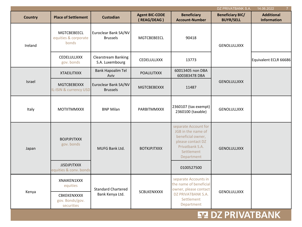|                |                                              |                                               |                                      |                                                                                                                                     | DZ PRIVATBANK S.A.                          | 14.06.2022                              |
|----------------|----------------------------------------------|-----------------------------------------------|--------------------------------------|-------------------------------------------------------------------------------------------------------------------------------------|---------------------------------------------|-----------------------------------------|
| <b>Country</b> | <b>Place of Settlement</b>                   | <b>Custodian</b>                              | <b>Agent BIC-CODE</b><br>(REAG/DEAG) | <b>Beneficiary</b><br><b>Account-Number</b>                                                                                         | <b>Beneficiary BIC/</b><br><b>BUYR/SELL</b> | <b>Additional</b><br><b>Information</b> |
| Ireland        | MGTCBEBEECL<br>equities & corporate<br>bonds | Euroclear Bank SA/NV<br><b>Brussels</b>       | MGTCBEBEECL                          | 90418                                                                                                                               | GENOLULLXXX                                 |                                         |
|                | CEDELULLXXX<br>gov. bonds                    | <b>Clearstream Banking</b><br>S.A. Luxembourg | CEDELULLXXX                          | 13773                                                                                                                               |                                             | Equivalent ECLR 66686                   |
|                | <b>XTAEILITXXX</b>                           | <b>Bank Hapoalim Tel</b><br>Aviv              | <b>POALILITXXX</b>                   | 60013405 non DBA<br>600383478 DBA                                                                                                   |                                             |                                         |
| Israel         | <b>MGTCBEBEXXX</b><br>IL-ISIN & currency USD | Euroclear Bank SA/NV<br><b>Brussels</b>       | <b>MGTCBEBEXXX</b>                   | 11487                                                                                                                               | <b>GENOLULLXXX</b>                          |                                         |
| Italy          | <b>MOTIITMMXXX</b>                           | <b>BNP Milan</b>                              | <b>PARBITMMXXX</b>                   | 2360107 (tax exempt)<br>2360100 (taxable)                                                                                           | <b>GENOLULLXXX</b>                          |                                         |
| Japan          | <b>BOJPJPJTXXX</b><br>gov. bonds             | MUFG Bank Ltd.                                | <b>BOTKJPJTXXX</b>                   | separate Account for<br>JGB in the name of<br>beneficial owner,<br>please contact DZ<br>Privatbank S.A.<br>Settlement<br>Department | <b>GENOLULLXXX</b>                          |                                         |
|                | <b>JJSDJPJTXXX</b><br>equities & conv. bonds |                                               |                                      | 0100527500                                                                                                                          |                                             |                                         |
| Kenya          | XNAIKEN1XXX<br>equities                      | <b>Standard Chartered</b>                     |                                      | separate Accounts in<br>the name of beneficial<br>owner, please contact                                                             | GENOLULLXXX                                 |                                         |
|                | CBKEKENXXXX<br>gov. Bonds/gov.<br>securities | Bank Kenya Ltd.                               | SCBLKENXXXX                          | DZ PRIVATBANK S.A.<br>Settlement<br>Department                                                                                      |                                             |                                         |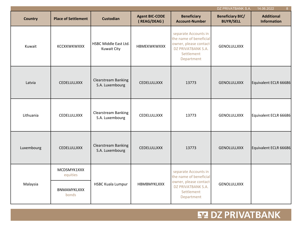|                |                            |                                               |                                      |                                                                                                                           | DZ PRIVATBANK S.A.                          | 14.06.2022<br>8 <sup>°</sup>            |
|----------------|----------------------------|-----------------------------------------------|--------------------------------------|---------------------------------------------------------------------------------------------------------------------------|---------------------------------------------|-----------------------------------------|
| <b>Country</b> | <b>Place of Settlement</b> | <b>Custodian</b>                              | <b>Agent BIC-CODE</b><br>(REAG/DEAG) | <b>Beneficiary</b><br><b>Account-Number</b>                                                                               | <b>Beneficiary BIC/</b><br><b>BUYR/SELL</b> | <b>Additional</b><br><b>Information</b> |
| Kuwait         | <b>KCCKKWKWXXX</b>         | HSBC Middle East Ltd.<br><b>Kuwait City</b>   | HBMEKWKWXXX                          | separate Accounts in<br>the name of beneficial<br>owner, please contact<br>DZ PRIVATBANK S.A.<br>Settlement<br>Department | GENOLULLXXX                                 |                                         |
| Latvia         | <b>CEDELULLXXX</b>         | <b>Clearstream Banking</b><br>S.A. Luxembourg | <b>CEDELULLXXX</b>                   | 13773                                                                                                                     | <b>GENOLULLXXX</b>                          | Equivalent ECLR 66686                   |
| Lithuania      | <b>CEDELULLXXX</b>         | Clearstream Banking<br>S.A. Luxembourg        | CEDELULLXXX                          | 13773                                                                                                                     | GENOLULLXXX                                 | Equivalent ECLR 66686                   |
| Luxembourg     | <b>CEDELULLXXX</b>         | <b>Clearstream Banking</b><br>S.A. Luxembourg | CEDELULLXXX                          | 13773                                                                                                                     | <b>GENOLULLXXX</b>                          | Equivalent ECLR 66686                   |
|                | MCDSMYK1XXX<br>equities    |                                               |                                      | separate Accounts in<br>the name of beneficial                                                                            |                                             |                                         |
| Malaysia       | BNMAMYKLXXX<br>bonds       | <b>HSBC Kuala Lumpur</b>                      | HBMBMYKLXXX                          | owner, please contact<br>DZ PRIVATBANK S.A.<br>Settlement<br>Department                                                   | GENOLULLXXX                                 |                                         |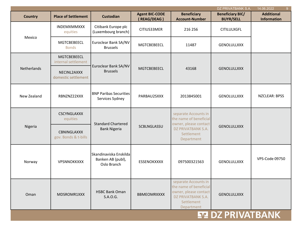|                |                                     |                                                            |                                      |                                                                                                                           | DZ PRIVATBANK S.A.                          | 14.06.2022<br>9 <sup>°</sup>            |
|----------------|-------------------------------------|------------------------------------------------------------|--------------------------------------|---------------------------------------------------------------------------------------------------------------------------|---------------------------------------------|-----------------------------------------|
| <b>Country</b> | <b>Place of Settlement</b>          | <b>Custodian</b>                                           | <b>Agent BIC-CODE</b><br>(REAG/DEAG) | <b>Beneficiary</b><br><b>Account-Number</b>                                                                               | <b>Beneficiary BIC/</b><br><b>BUYR/SELL</b> | <b>Additional</b><br><b>Information</b> |
|                | INDEMXMMXXX<br>equities             | Citibank Europe plc<br>(Luxembourg branch)                 | CITIUS33MER                          | 216 256                                                                                                                   | <b>CITILULXGFL</b>                          |                                         |
| Mexico         | <b>MGTCBEBEECL</b><br><b>Bonds</b>  | Euroclear Bank SA/NV<br><b>Brussels</b>                    | <b>MGTCBEBEECL</b>                   | 11487                                                                                                                     | <b>GENOLULLXXX</b>                          |                                         |
|                | MGTCBEBEECL<br>internal settlement  |                                                            |                                      |                                                                                                                           |                                             |                                         |
| Netherlands    | NECINL2AXXX<br>domestic settlement  | Euroclear Bank SA/NV<br><b>Brussels</b>                    | <b>MGTCBEBEECL</b>                   | 43168                                                                                                                     | <b>GENOLULLXXX</b>                          |                                         |
| New Zealand    | RBNZNZ22XXX                         | <b>BNP Paribas Securities</b><br>Services Sydney           | PARBAU2SXXX                          | 2013845001                                                                                                                | <b>GENOLULLXXX</b>                          | <b>NZCLEAR: BPSS</b>                    |
|                | <b>CSCYNGLAXXX</b><br>equities      | <b>Standard Chartered</b><br><b>Bank Nigeria</b>           |                                      | separate Accounts in<br>the name of beneficial<br>owner, please contact                                                   |                                             |                                         |
| Nigeria        | CBNINGLAXXX<br>gov. Bonds & t-bills |                                                            | SCBLNGLASSU                          | DZ PRIVATBANK S.A.<br>Settlement<br>Department                                                                            | <b>GENOLULLXXX</b>                          |                                         |
| Norway         | VPSNNOKKXXX                         | Skandinaviska Enskilda<br>Banken AB (publ),<br>Oslo Branch | ESSENOKXXXX                          | 097500321563                                                                                                              | <b>GENOLULLXXX</b>                          | VPS-Code 09750                          |
| Oman           | MDSROMR1XXX                         | <b>HSBC Bank Oman</b><br>S.A.O.G.                          | <b>BBMEOMRXXXX</b>                   | separate Accounts in<br>the name of beneficial<br>owner, please contact<br>DZ PRIVATBANK S.A.<br>Settlement<br>Department | <b>GENOLULLXXX</b>                          |                                         |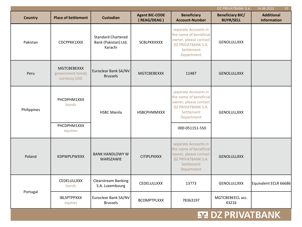|                |                                                        |                                                              |                                      |                                                                                                                                             | DZ PRIVATBANK S.A.                          | 14.06.2022<br>10 <sup>°</sup>           |
|----------------|--------------------------------------------------------|--------------------------------------------------------------|--------------------------------------|---------------------------------------------------------------------------------------------------------------------------------------------|---------------------------------------------|-----------------------------------------|
| <b>Country</b> | <b>Place of Settlement</b>                             | <b>Custodian</b>                                             | <b>Agent BIC-CODE</b><br>(REAG/DEAG) | <b>Beneficiary</b><br><b>Account-Number</b>                                                                                                 | <b>Beneficiary BIC/</b><br><b>BUYR/SELL</b> | <b>Additional</b><br><b>Information</b> |
| Pakistan       | CDCPPKK1XXX                                            | <b>Standard Chartered</b><br>Bank (Pakistan) Ltd.<br>Karachi | <b>SCBLPKKXXXX</b>                   | separate Accounts in<br>the name of beneficial<br>owner, please contact<br>DZ PRIVATBANK S.A.<br>Settlement<br>Department                   | GENOLULLXXX                                 |                                         |
| Peru           | <b>MGTCBEBEXXX</b><br>government bonds<br>currency USD | Euroclear Bank SA/NV<br><b>Brussels</b>                      | <b>MGTCBEBEXXX</b>                   | 11487                                                                                                                                       | <b>GENOLULLXXX</b>                          |                                         |
| Philippines    | PHCDPHM1XXX<br>bonds<br>PHCDPHM1XXX<br>equities        | <b>HSBC Manila</b>                                           | HSBCPHMMXXX                          | separate Accounts in<br>the name of beneficial<br>owner, please contact<br>DZ PRIVATBANK S.A.<br>Settlement<br>Department<br>000-051151-550 | <b>GENOLULLXXX</b>                          |                                         |
| Poland         | KDPWPLPWXXX                                            | <b>BANK HANDLOWY W</b><br>WARSZAWIE                          | <b>CITIPLPXXXX</b>                   | separate Accounts in<br>the name of beneficial<br>owner, please contact<br>DZ PRIVATBANK S.A.<br>Settlement<br>Department                   | <b>GENOLULLXXX</b>                          |                                         |
|                | CEDELULLXXX<br>bonds                                   | <b>Clearstream Banking</b><br>S.A. Luxembourg                | CEDELULLXXX                          | 13773                                                                                                                                       | <b>GENOLULLXXX</b>                          | Equivalent ECLR 66686                   |
| Portugal       | <b>IBLSPTPPXXX</b><br>equties                          | Euroclear Bank SA/NV<br><b>Brussels</b>                      | <b>BCOMPTPLXXX</b>                   | 78363197                                                                                                                                    | MGTCBEBEECL acc.<br>43216                   |                                         |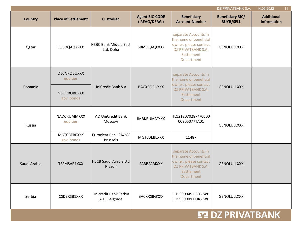|                |                                  |                                           |                                      |                                                                                                                           | DZ PRIVATBANK S.A.                          | 14.06.2022<br>11 <sub>1</sub>           |
|----------------|----------------------------------|-------------------------------------------|--------------------------------------|---------------------------------------------------------------------------------------------------------------------------|---------------------------------------------|-----------------------------------------|
| <b>Country</b> | <b>Place of Settlement</b>       | <b>Custodian</b>                          | <b>Agent BIC-CODE</b><br>(REAG/DEAG) | <b>Beneficiary</b><br><b>Account-Number</b>                                                                               | <b>Beneficiary BIC/</b><br><b>BUYR/SELL</b> | <b>Additional</b><br><b>Information</b> |
| Qatar          | QCSDQAQ2XXX                      | <b>HSBC Bank Middle East</b><br>Ltd. Doha | BBMEQAQXXXX                          | separate Accounts in<br>the name of beneficial<br>owner, please contact<br>DZ PRIVATBANK S.A.<br>Settlement<br>Department | <b>GENOLULLXXX</b>                          |                                         |
| Romania        | <b>DECNROBUXXX</b><br>equities   |                                           |                                      | separate Accounts in<br>the name of beneficial<br>owner, please contact                                                   |                                             |                                         |
|                | <b>NBORROBBXXX</b><br>gov. bonds | UniCredit Bank S.A.                       | <b>BACXROBUXXX</b>                   | DZ PRIVATBANK S.A.<br>Settlement<br>Department                                                                            | <b>GENOLULLXXX</b>                          |                                         |
| Russia         | NADCRUMMXXX<br>equities          | <b>AO UniCredit Bank</b><br>Moscow        | <b>IMBKRUMMXXX</b>                   | TL1212070287/70000<br>00205077TA01                                                                                        | GENOLULLXXX                                 |                                         |
|                | MGTCBEBEXXX<br>gov. bonds        | Euroclear Bank SA/NV<br><b>Brussels</b>   | <b>MGTCBEBEXXX</b>                   | 11487                                                                                                                     |                                             |                                         |
| Saudi Arabia   | TSSMSAR1XXX                      | <b>HSCB Saudi Arabia Ltd</b><br>Riyadh    | SABBSARIXXX                          | separate Accounts in<br>the name of beneficial<br>owner, please contact<br>DZ PRIVATBANK S.A.<br>Settlement<br>Department | <b>GENOLULLXXX</b>                          |                                         |
| Serbia         | CSDERSB1XXX                      | Unicredit Bank Serbia<br>A.D. Belgrade    | <b>BACXRSBGXXX</b>                   | 115999949 RSD - WP<br>115999909 EUR - WP                                                                                  | GENOLULLXXX                                 |                                         |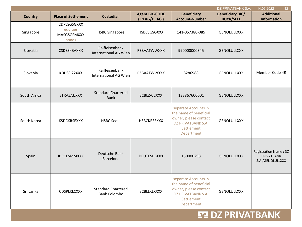|                |                                                 |                                                  |                       |                                                                                                                           | DZ PRIVATBANK S.A.      | 14.06.2022<br>12 <sup>2</sup>                                         |
|----------------|-------------------------------------------------|--------------------------------------------------|-----------------------|---------------------------------------------------------------------------------------------------------------------------|-------------------------|-----------------------------------------------------------------------|
| <b>Country</b> | <b>Place of Settlement</b>                      | <b>Custodian</b>                                 | <b>Agent BIC-CODE</b> | <b>Beneficiary</b>                                                                                                        | <b>Beneficiary BIC/</b> | <b>Additional</b>                                                     |
|                |                                                 |                                                  | (REAG/DEAG)           | <b>Account-Number</b>                                                                                                     | <b>BUYR/SELL</b>        | Information                                                           |
| Singapore      | CDPLSGSGXXX<br>equities<br>MASGSGSMXXX<br>bonds | <b>HSBC Singapore</b>                            | <b>HSBCSGSGXXX</b>    | 141-057380-085                                                                                                            | GENOLULLXXX             |                                                                       |
| Slovakia       | CSDSSKBAXXX                                     | Raiffeisenbank<br><b>International AG Wien</b>   | <b>RZBAATWWXXX</b>    | 990000000345                                                                                                              | <b>GENOLULLXXX</b>      |                                                                       |
| Slovenia       | KDDSSI22XXX                                     | Raiffeisenbank<br><b>International AG Wien</b>   | RZBAATWWXXX           | 8286988                                                                                                                   | <b>GENOLULLXXX</b>      | Member Code 4R                                                        |
| South Africa   | STRAZAJJXXX                                     | <b>Standard Chartered</b><br>Bank                | SCBLZAJ2XXX           | 133867600001                                                                                                              | <b>GENOLULLXXX</b>      |                                                                       |
| South Korea    | <b>KSDCKRSEXXX</b>                              | <b>HSBC Seoul</b>                                | <b>HSBCKRSEXXX</b>    | separate Accounts in<br>the name of beneficial<br>owner, please contact<br>DZ PRIVATBANK S.A.<br>Settlement<br>Department | GENOLULLXXX             |                                                                       |
| Spain          | <b>IBRCESMMXXX</b>                              | Deutsche Bank<br>Barcelona                       | <b>DEUTESBBXXX</b>    | 150000298                                                                                                                 | <b>GENOLULLXXX</b>      | <b>Registration Name: DZ</b><br><b>PRIVATBANK</b><br>S.A./GENOLULLXXX |
| Sri Lanka      | CDSPLKLCXXX                                     | <b>Standard Chartered</b><br><b>Bank Colombo</b> | <b>SCBLLKLXXXX</b>    | separate Accounts in<br>the name of beneficial<br>owner, please contact<br>DZ PRIVATBANK S.A.<br>Settlement<br>Department | <b>GENOLULLXXX</b>      |                                                                       |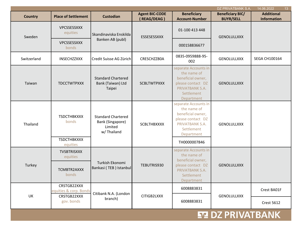|                |                                                                    |                                                                         |                                      |                                                                                                                              | DZ PRIVATBANK S.A.                          | 14.06.2022<br>13 <sup>°</sup>           |
|----------------|--------------------------------------------------------------------|-------------------------------------------------------------------------|--------------------------------------|------------------------------------------------------------------------------------------------------------------------------|---------------------------------------------|-----------------------------------------|
| <b>Country</b> | <b>Place of Settlement</b>                                         | <b>Custodian</b>                                                        | <b>Agent BIC-CODE</b><br>(REAG/DEAG) | <b>Beneficiary</b><br><b>Account-Number</b>                                                                                  | <b>Beneficiary BIC/</b><br><b>BUYR/SELL</b> | <b>Additional</b><br><b>Information</b> |
| Sweden         | VPCSSESSXXX<br>equities                                            | Skandinaviska Enskilda                                                  | ESSESESSXXX                          | 01-100 413 448                                                                                                               | <b>GENOLULLXXX</b>                          |                                         |
|                | VPCSSESSXXX<br>bonds                                               | Banken AB (publ)                                                        |                                      | 000158836677                                                                                                                 |                                             |                                         |
| Switzerland    | INSECHZZXXX                                                        | Credit Suisse AG Zürich                                                 | CRESCHZZ80A                          | 0835-0959888-95-<br>002                                                                                                      | GENOLULLXXX                                 | <b>SEGA CH100164</b>                    |
| Taiwan         | <b>TDCCTWTPXXX</b>                                                 | <b>Standard Chartered</b><br>Bank (Taiwan) Ltd<br>Taipei                | <b>SCBLTWTPXXX</b>                   | separate Accounts in<br>the name of<br>beneficial owner,<br>please contact DZ<br>PRIVATBANK S.A.<br>Settlement<br>Department | <b>GENOLULLXXX</b>                          |                                         |
| Thailand       | <b>TSDCTHBKXXX</b><br>bonds                                        | <b>Standard Chartered</b><br>Bank (Singapore)<br>Limited<br>w/ Thailand | SCBLTHBXXXX                          | separate Accounts in<br>the name of<br>beneficial owner,<br>please contact DZ<br>PRIVATBANK S.A.<br>Settlement<br>Department | GENOLULLXXX                                 |                                         |
|                | <b>TSDCTHBKXXX</b><br>equities                                     |                                                                         |                                      | TH0000007846                                                                                                                 |                                             |                                         |
|                | <b>TVSBTRISXXX</b><br>equities                                     |                                                                         |                                      | separate Accounts in<br>the name of<br>beneficial owner,                                                                     |                                             |                                         |
| Turkey         | TCMBTR2AXXX<br>bonds                                               | Turkish Ekonomi<br>Bankasi (TEB) Istanbul                               | TEBUTRIS930                          | please contact DZ<br>PRIVATBANK S.A.<br>Settlement<br>Department                                                             | <b>GENOLULLXXX</b>                          |                                         |
|                | CRSTGB22XXX<br>equities & corp. Bonds<br>CRSTGB22XXX<br>gov. bonds | Citibank N.A. (London<br>branch)                                        | CITIGB2LXXX                          | 6008883831                                                                                                                   | GENOLULLXXX                                 | Crest BA01F                             |
| UK             |                                                                    |                                                                         |                                      | 6008883831                                                                                                                   |                                             | <b>Crest 5612</b>                       |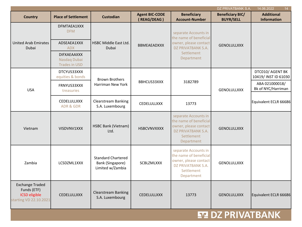|                                                                                         |                                                            |                                                                   |                                      |                                                                                                                           | DZ PRIVATBANK S.A.                          | 14.06.2022<br>14.                        |
|-----------------------------------------------------------------------------------------|------------------------------------------------------------|-------------------------------------------------------------------|--------------------------------------|---------------------------------------------------------------------------------------------------------------------------|---------------------------------------------|------------------------------------------|
| <b>Country</b>                                                                          | <b>Place of Settlement</b>                                 | <b>Custodian</b>                                                  | <b>Agent BIC-CODE</b><br>(REAG/DEAG) | <b>Beneficiary</b><br><b>Account-Number</b>                                                                               | <b>Beneficiary BIC/</b><br><b>BUYR/SELL</b> | <b>Additional</b><br><b>Information</b>  |
| <b>United Arab Emirates</b><br>Dubai                                                    | DFMTAEA1XXX<br><b>DFM</b>                                  | HSBC Middle East Ltd.<br>Dubai                                    | <b>BBMEAEADXXX</b>                   | separate Accounts in<br>the name of beneficial<br>owner, please contact<br>DZ PRIVATBANK S.A.<br>Settlement<br>Department | <b>GENOLULLXXX</b>                          |                                          |
|                                                                                         | ADSEAEA1XXX<br><b>ADX</b>                                  |                                                                   |                                      |                                                                                                                           |                                             |                                          |
|                                                                                         | <b>DIFXAEAAXXX</b><br>Nasdaq Dubai<br><b>Trades in USD</b> |                                                                   |                                      |                                                                                                                           |                                             |                                          |
| <b>USA</b>                                                                              | DTCYUS33XXX<br>equities & bonds                            | <b>Brown Brothers</b><br>Harriman New York                        | BBHCUS33XXX                          | 3182789                                                                                                                   | <b>GENOLULLXXX</b>                          | DTC010/ AGENT BK<br>10419/ INST ID 61030 |
|                                                                                         | FRNYUS33XXX<br>treasuries                                  |                                                                   |                                      |                                                                                                                           |                                             | ABA 021000018/<br>Bk of NYC/Harriman     |
|                                                                                         | CEDELULLXXX<br><b>ADR &amp; GDR</b>                        | <b>Clearstream Banking</b><br>S.A. Luxembourg                     | CEDELULLXXX                          | 13773                                                                                                                     |                                             | Equivalent ECLR 66686                    |
| Vietnam                                                                                 | VISDVNV1XXX                                                | <b>HSBC Bank (Vietnam)</b><br>Ltd.                                | <b>HSBCVNVXXXX</b>                   | separate Accounts in<br>the name of beneficial<br>owner, please contact<br>DZ PRIVATBANK S.A.<br>Settlement<br>Department | <b>GENOLULLXXX</b>                          |                                          |
| Zambia                                                                                  | LCSDZML1XXX                                                | <b>Standard Chartered</b><br>Bank (Singapore)<br>Limited w/Zambia | SCBLZMLXXX                           | separate Accounts in<br>the name of beneficial<br>owner, please contact<br>DZ PRIVATBANK S.A.<br>Settlement<br>Department | <b>GENOLULLXXX</b>                          |                                          |
| <b>Exchange Traded</b><br>Funds (ETF)<br><b>ICSD</b> eligible<br>starting VD 22.10.2021 | <b>CEDELULLXXX</b>                                         | <b>Clearstream Banking</b><br>S.A. Luxembourg                     | <b>CEDELULLXXX</b>                   | 13773                                                                                                                     | <b>GENOLULLXXX</b>                          | Equivalent ECLR 66686                    |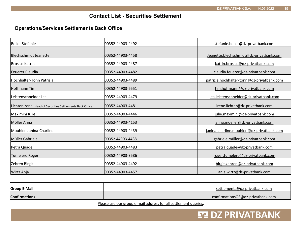### **Contact List - Securities Settlement**

#### **Operations/Services Settlements Back Office**

| Beller Stefanie                                            | 100352-44903-4492 | stefanie.beller@dz-privatbank.com          |
|------------------------------------------------------------|-------------------|--------------------------------------------|
| <b>Blechschmidt Jeanette</b>                               | 00352-44903-4458  | Jeanette.blechschmidt@dz-privatbank.com    |
| <b>Brosius Katrin</b>                                      | 100352-44903-4487 | katrin.brosius@dz-privatbank.com           |
| lFeuerer Claudia                                           | 00352-44903-4482  | claudia.feuerer@dz-privatbank.com          |
| <b>Hochhalter-Tonn Patrizia</b>                            | 00352-44903-4489  | patrizia.hochhalter-tonn@dz-privatbank.com |
| Hoffmann Tim                                               | 00352-44903-6551  | tim.hoffmann@dz-privatbank.com             |
| Leistenschneider Lea                                       | 100352-44903-4479 | lea.leistenschneider@dz-privatbank.com     |
| Lichter Irene (Head of Securities Settlements Back Office) | 00352-44903-4481  | irene.lichter@dz-privatbank.com            |
| Maximini Julie                                             | 00352-44903-4446  | julie.maximini@dz-privatbank.com           |
| Möller Anna                                                | 100352-44903-4153 | anna.moeller@dz-privatbank.com             |
| Mouhlen Janina-Charline                                    | 00352-44903-4439  | janina-charline.mouhlen@dz-privatbank.com  |
| Müller Gabriele                                            | 00352 44903-4488  | gabriele.müller@dz-privatbank.com          |
| Petra Quade                                                | 00352-44903-4483  | petra.quade@dz-privatbank.com              |
| Tumelero Roger                                             | 00352-44903-3586  | roger.tumelero@dz-privatbank.com           |
| Zehren Birgit                                              | 00352-44903-4492  | birgit.zehren@dz-privatbank.com            |
| Wirtz Anja                                                 | 100352-44903-4457 | anja.wirtz@dz-privatbank.com               |

| <b>Group E-Mail</b>  | settlements@dz-privatbank.com     |
|----------------------|-----------------------------------|
| <b>Confirmations</b> | confirmationsOS@dz-privatbank.com |

Please use our group e-mail address for all settlement queries.